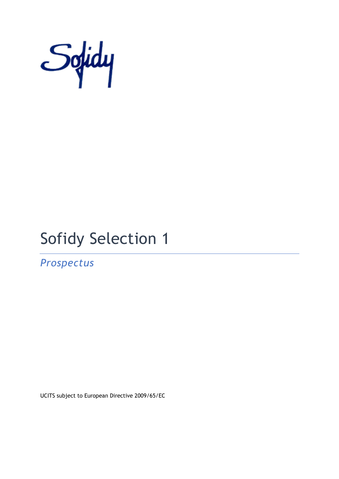

# Sofidy Selection 1

*Prospectus*

UCITS subject to European Directive 2009/65/EC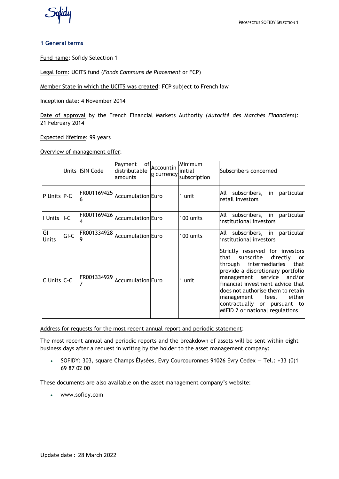

## **1 General terms**

Fund name: Sofidy Selection 1

Legal form: UCITS fund (*Fonds Communs de Placement* or FCP)

Member State in which the UCITS was created: FCP subject to French law

Inception date: 4 November 2014

Date of approval by the French Financial Markets Authority (*Autorité des Marchés Financiers*): 21 February 2014

Expected lifetime: 99 years

Overview of management offer:

|                    |        | Units ISIN Code | of<br>Payment<br>distributable<br>amounts | Accountin | Minimum<br>linitial<br>g currency subscription | Subscribers concerned                                                                                                                                                                                                                                                                                                                                    |
|--------------------|--------|-----------------|-------------------------------------------|-----------|------------------------------------------------|----------------------------------------------------------------------------------------------------------------------------------------------------------------------------------------------------------------------------------------------------------------------------------------------------------------------------------------------------------|
| P Units P-C        |        | n               | FR001169425   Accumulation Euro           |           | 1 unit                                         | All subscribers, in particular<br>retail investors                                                                                                                                                                                                                                                                                                       |
| I Units II-C       |        | FR001169426     | <b>Accumulation</b> Euro                  |           | 100 units                                      | All subscribers, in particular<br>institutional investors                                                                                                                                                                                                                                                                                                |
| GI<br><b>Units</b> | $GI-C$ | FR001334928     | Accumulation Euro                         |           | 100 units                                      | All subscribers, in particular<br>institutional investors                                                                                                                                                                                                                                                                                                |
| C Units C-C        |        | FR001334929     | Accumulation Euro                         |           | 1 unit                                         | Strictly reserved for investors<br>that<br>subscribe<br>directly<br>or<br>through intermediaries<br>thatl<br>provide a discretionary portfolio<br>management service and/or<br>financial investment advice that<br>does not authorise them to retain<br>either<br>fees,<br>management<br>contractually or pursuant to<br>MiFID 2 or national regulations |

Address for requests for the most recent annual report and periodic statement:

The most recent annual and periodic reports and the breakdown of assets will be sent within eight business days after a request in writing by the holder to the asset management company:

• SOFIDY: 303, square Champs Élysées, Evry Courcouronnes 91026 Évry Cedex — Tel.: +33 (0)1 69 87 02 00

These documents are also available on the asset management company's website:

• www.sofidy.com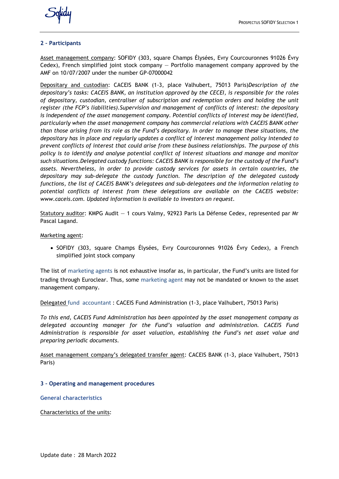

## **2 – Participants**

Asset management company: SOFIDY (303, square Champs Élysées, Evry Courcouronnes 91026 Évry Cedex), French simplified joint stock company — Portfolio management company approved by the AMF on 10/07/2007 under the number GP-07000042

Depositary and custodian: CACEIS BANK (1-3, place Valhubert, 75013 Paris)*Description of the depositary's tasks: CACEIS BANK, an institution approved by the CECEI, is responsible for the roles of depositary, custodian, centraliser of subscription and redemption orders and holding the unit register (the FCP's liabilities).Supervision and management of conflicts of interest: the depositary is independent of the asset management company. Potential conflicts of interest may be identified, particularly when the asset management company has commercial relations with CACEIS BANK other than those arising from its role as the Fund's depositary. In order to manage these situations, the depositary has in place and regularly updates a conflict of interest management policy intended to prevent conflicts of interest that could arise from these business relationships. The purpose of this policy is to identify and analyse potential conflict of interest situations and manage and monitor such situations.Delegated custody functions: CACEIS BANK is responsible for the custody of the Fund's assets. Nevertheless, in order to provide custody services for assets in certain countries, the depositary may sub-delegate the custody function. The description of the delegated custody functions, the list of CACEIS BANK's delegatees and sub-delegatees and the information relating to potential conflicts of interest from these delegations are available on the CACEIS website: www.caceis.com. Updated information is available to investors on request.*

Statutory auditor: KMPG Audit — 1 cours Valmy, 92923 Paris La Défense Cedex, represented par Mr Pascal Lagand.

Marketing agent:

• SOFIDY (303, square Champs Élysées, Evry Courcouronnes 91026 Évry Cedex), a French simplified joint stock company

The list of marketing agents is not exhaustive insofar as, in particular, the Fund's units are listed for trading through Euroclear. Thus, some marketing agent may not be mandated or known to the asset management company.

Delegated fund accountant : CACEIS Fund Administration (1-3, place Valhubert, 75013 Paris)

*To this end, CACEIS Fund Administration has been appointed by the asset management company as delegated accounting manager for the Fund's valuation and administration. CACEIS Fund Administration is responsible for asset valuation, establishing the Fund's net asset value and preparing periodic documents.*

Asset management company's delegated transfer agent: CACEIS BANK (1-3, place Valhubert, 75013 Paris)

# **3 – Operating and management procedures**

**General characteristics**

Characteristics of the units: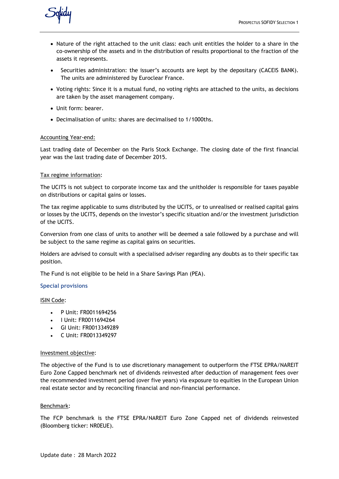

- Nature of the right attached to the unit class: each unit entitles the holder to a share in the co-ownership of the assets and in the distribution of results proportional to the fraction of the assets it represents.
- Securities administration: the issuer's accounts are kept by the depositary (CACEIS BANK). The units are administered by Euroclear France.
- Voting rights: Since it is a mutual fund, no voting rights are attached to the units, as decisions are taken by the asset management company.
- Unit form: bearer.
- Decimalisation of units: shares are decimalised to 1/1000ths.

# Accounting Year-end:

Last trading date of December on the Paris Stock Exchange. The closing date of the first financial year was the last trading date of December 2015.

# Tax regime information:

The UCITS is not subject to corporate income tax and the unitholder is responsible for taxes payable on distributions or capital gains or losses.

The tax regime applicable to sums distributed by the UCITS, or to unrealised or realised capital gains or losses by the UCITS, depends on the investor's specific situation and/or the investment jurisdiction of the UCITS.

Conversion from one class of units to another will be deemed a sale followed by a purchase and will be subject to the same regime as capital gains on securities.

Holders are advised to consult with a specialised adviser regarding any doubts as to their specific tax position.

The Fund is not eligible to be held in a Share Savings Plan (PEA).

# **Special provisions**

# ISIN Code:

- P Unit: FR0011694256
- I Unit: FR0011694264
- GI Unit: FR0013349289
- C Unit: FR0013349297

# Investment objective:

The objective of the Fund is to use discretionary management to outperform the FTSE EPRA/NAREIT Euro Zone Capped benchmark net of dividends reinvested after deduction of management fees over the recommended investment period (over five years) via exposure to equities in the European Union real estate sector and by reconciling financial and non-financial performance.

# Benchmark:

The FCP benchmark is the FTSE EPRA/NAREIT Euro Zone Capped net of dividends reinvested (Bloomberg ticker: NR0EUE).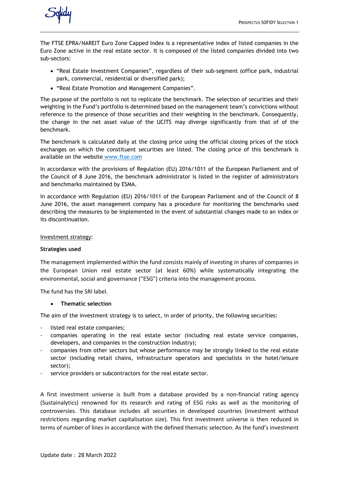

The FTSE EPRA/NAREIT Euro Zone Capped Index is a representative index of listed companies in the Euro Zone active in the real estate sector. It is composed of the listed companies divided into two sub-sectors:

- "Real Estate Investment Companies", regardless of their sub-segment (office park, industrial park, commercial, residential or diversified park);
- "Real Estate Promotion and Management Companies".

The purpose of the portfolio is not to replicate the benchmark. The selection of securities and their weighting in the Fund's portfolio is determined based on the management team's convictions without reference to the presence of those securities and their weighting in the benchmark. Consequently, the change in the net asset value of the UCITS may diverge significantly from that of of the benchmark.

The benchmark is calculated daily at the closing price using the official closing prices of the stock exchanges on which the constituent securities are listed. The closing price of this benchmark is available on the website [www.ftse.com](http://www.ftse.com/)

In accordance with the provisions of Regulation (EU) 2016/1011 of the European Parliament and of the Council of 8 June 2016, the benchmark administrator is listed in the register of administrators and benchmarks maintained by ESMA.

In accordance with Regulation (EU) 2016/1011 of the European Parliament and of the Council of 8 June 2016, the asset management company has a procedure for monitoring the benchmarks used describing the measures to be implemented in the event of substantial changes made to an index or its discontinuation.

## Investment strategy:

# **Strategies used**

The management implemented within the fund consists mainly of investing in shares of companies in the European Union real estate sector (at least 60%) while systematically integrating the environmental, social and governance ("ESG") criteria into the management process.

The fund has the SRI label.

# • **Thematic selection**

The aim of the investment strategy is to select, in order of priority, the following securities:

- listed real estate companies;
- companies operating in the real estate sector (including real estate service companies, developers, and companies in the construction industry);
- companies from other sectors but whose performance may be strongly linked to the real estate sector (including retail chains, infrastructure operators and specialists in the hotel/leisure sector);
- service providers or subcontractors for the real estate sector.

A first investment universe is built from a database provided by a non-financial rating agency (Sustainalytics) renowned for its research and rating of ESG risks as well as the monitoring of controversies. This database includes all securities in developed countries (investment without restrictions regarding market capitalisation size). This first investment universe is then reduced in terms of number of lines in accordance with the defined thematic selection. As the fund's investment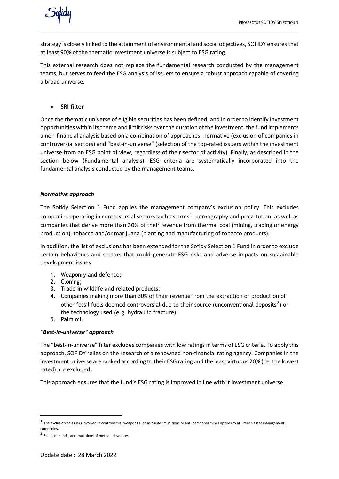

strategy is closely linked to the attainment of environmental and social objectives, SOFIDY ensures that at least 90% of the thematic investment universe is subject to ESG rating.

This external research does not replace the fundamental research conducted by the management teams, but serves to feed the ESG analysis of issuers to ensure a robust approach capable of covering a broad universe.

• **SRI filter**

Once the thematic universe of eligible securities has been defined, and in order to identify investment opportunities within its theme and limit risks over the duration of the investment, the fund implements a non-financial analysis based on a combination of approaches: normative (exclusion of companies in controversial sectors) and "best-in-universe" (selection of the top-rated issuers within the investment universe from an ESG point of view, regardless of their sector of activity). Finally, as described in the section below (Fundamental analysis), ESG criteria are systematically incorporated into the fundamental analysis conducted by the management teams.

# *Normative approach*

The Sofidy Selection 1 Fund applies the management company's exclusion policy. This excludes companies operating in controversial sectors such as arms<sup>[1](#page-5-0)</sup>, pornography and prostitution, as well as companies that derive more than 30% of their revenue from thermal coal (mining, trading or energy production), tobacco and/or marijuana (planting and manufacturing of tobacco products).

In addition, the list of exclusions has been extended for the Sofidy Selection 1 Fund in order to exclude certain behaviours and sectors that could generate ESG risks and adverse impacts on sustainable development issues:

- 1. Weaponry and defence;
- 2. Cloning;
- 3. Trade in wildlife and related products;
- 4. Companies making more than 30% of their revenue from the extraction or production of other fossil fuels deemed controversial due to their source (unconventional deposits<sup>[2](#page-5-1)</sup>) or the technology used (e.g. hydraulic fracture);
- 5. Palm oil.

# *"Best-in-universe" approach*

The "best-in-universe" filter excludes companies with low ratings in terms of ESG criteria. To apply this approach, SOFIDY relies on the research of a renowned non-financial rating agency. Companies in the investment universe are ranked according to their ESG rating and the least virtuous 20% (i.e. the lowest rated) are excluded.

This approach ensures that the fund's ESG rating is improved in line with it investment universe.

<span id="page-5-0"></span> $<sup>1</sup>$  The exclusion of issuers involved in controversial weapons such as cluster munitions or anti-personnel mines applies to all French asset management</sup> companies.

<span id="page-5-1"></span><sup>2</sup> Shale, oil sands, accumulations of methane hydrates.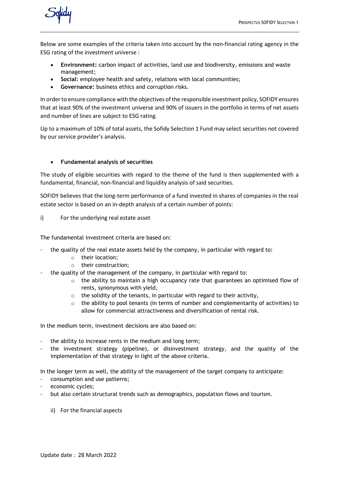

Below are some examples of the criteria taken into account by the non-financial rating agency in the ESG rating of the investment universe :

- **Environment:** carbon impact of activities, land use and biodiversity, emissions and waste management;
- **Social:** employee health and safety, relations with local communities;
- **Governance:** business ethics and corruption risks.

In order to ensure compliance with the objectives of the responsible investment policy, SOFIDY ensures that at least 90% of the investment universe and 90% of issuers in the portfolio in terms of net assets and number of lines are subject to ESG rating.

Up to a maximum of 10% of total assets, the Sofidy Selection 1 Fund may select securities not covered by our service provider's analysis.

# • **Fundamental analysis of securities**

The study of eligible securities with regard to the theme of the fund is then supplemented with a fundamental, financial, non-financial and liquidity analysis of said securities.

SOFIDY believes that the long-term performance of a fund invested in shares of companies in the real estate sector is based on an in-depth analysis of a certain number of points:

# i) For the underlying real estate asset

The fundamental investment criteria are based on:

- the quality of the real estate assets held by the company, in particular with regard to:
	- o their location;
	- o their construction;
- the quality of the management of the company, in particular with regard to:
	- $\circ$  the ability to maintain a high occupancy rate that guarantees an optimised flow of rents, synonymous with yield,
	- o the solidity of the tenants, in particular with regard to their activity,
	- $\circ$  the ability to pool tenants (in terms of number and complementarity of activities) to allow for commercial attractiveness and diversification of rental risk.

In the medium term, investment decisions are also based on:

- the ability to increase rents in the medium and long term;
- the investment strategy (pipeline), or disinvestment strategy, and the quality of the implementation of that strategy in light of the above criteria.

In the longer term as well, the ability of the management of the target company to anticipate:

- consumption and use patterns;
- economic cycles;
- but also certain structural trends such as demographics, population flows and tourism.
	- ii) For the financial aspects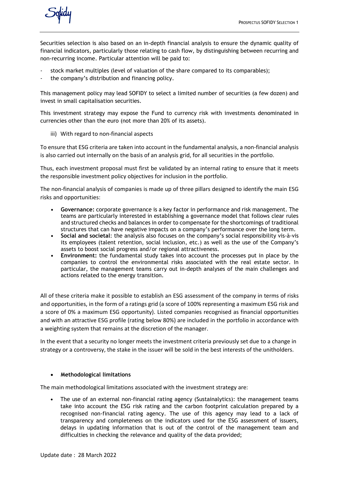

Securities selection is also based on an in-depth financial analysis to ensure the dynamic quality of financial indicators, particularly those relating to cash flow, by distinguishing between recurring and non-recurring income. Particular attention will be paid to:

- stock market multiples (level of valuation of the share compared to its comparables);
- the company's distribution and financing policy.

This management policy may lead SOFIDY to select a limited number of securities (a few dozen) and invest in small capitalisation securities.

This investment strategy may expose the Fund to currency risk with investments denominated in currencies other than the euro (not more than 20% of its assets).

iii) With regard to non-financial aspects

To ensure that ESG criteria are taken into account in the fundamental analysis, a non-financial analysis is also carried out internally on the basis of an analysis grid, for all securities in the portfolio.

Thus, each investment proposal must first be validated by an internal rating to ensure that it meets the responsible investment policy objectives for inclusion in the portfolio.

The non-financial analysis of companies is made up of three pillars designed to identify the main ESG risks and opportunities:

- **• Governance:** corporate governance is a key factor in performance and risk management. The teams are particularly interested in establishing a governance model that follows clear rules and structured checks and balances in order to compensate for the shortcomings of traditional structures that can have negative impacts on a company's performance over the long term.
- **• Social and societal**: the analysis also focuses on the company's social responsibility vis-à-vis its employees (talent retention, social inclusion, etc.) as well as the use of the Company's assets to boost social progress and/or regional attractiveness.
- **• Environment:** the fundamental study takes into account the processes put in place by the companies to control the environmental risks associated with the real estate sector. In particular, the management teams carry out in-depth analyses of the main challenges and actions related to the energy transition.

All of these criteria make it possible to establish an ESG assessment of the company in terms of risks and opportunities, in the form of a ratings grid (a score of 100% representing a maximum ESG risk and a score of 0% a maximum ESG opportunity). Listed companies recognised as financial opportunities and with an attractive ESG profile (rating below 80%) are included in the portfolio in accordance with a weighting system that remains at the discretion of the manager.

In the event that a security no longer meets the investment criteria previously set due to a change in strategy or a controversy, the stake in the issuer will be sold in the best interests of the unitholders.

# • **Methodological limitations**

The main methodological limitations associated with the investment strategy are:

**•** The use of an external non-financial rating agency (Sustainalytics): the management teams take into account the ESG risk rating and the carbon footprint calculation prepared by a recognised non-financial rating agency. The use of this agency may lead to a lack of transparency and completeness on the indicators used for the ESG assessment of issuers, delays in updating information that is out of the control of the management team and difficulties in checking the relevance and quality of the data provided;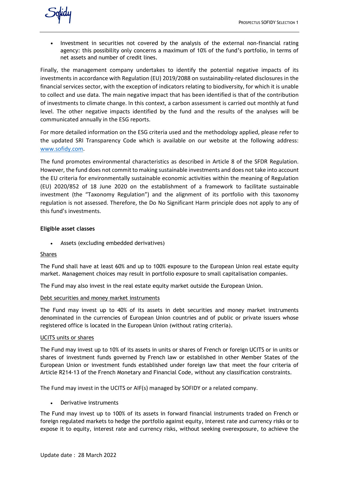

**•** Investment in securities not covered by the analysis of the external non-financial rating agency: this possibility only concerns a maximum of 10% of the fund's portfolio, in terms of net assets and number of credit lines.

Finally, the management company undertakes to identify the potential negative impacts of its investments in accordance with Regulation (EU) 2019/2088 on sustainability-related disclosures in the financial services sector, with the exception of indicators relating to biodiversity, for which it is unable to collect and use data. The main negative impact that has been identified is that of the contribution of investments to climate change. In this context, a carbon assessment is carried out monthly at fund level. The other negative impacts identified by the fund and the results of the analyses will be communicated annually in the ESG reports.

For more detailed information on the ESG criteria used and the methodology applied, please refer to the updated SRI Transparency Code which is available on our website at the following address[:](http://www.sofidy.com/) [www.sofidy.com.](http://www.sofidy.com/)

The fund promotes environmental characteristics as described in Article 8 of the SFDR Regulation. However, the fund does not commit to making sustainable investments and does not take into account the EU criteria for environmentally sustainable economic activities within the meaning of Regulation (EU) 2020/852 of 18 June 2020 on the establishment of a framework to facilitate sustainable investment (the "Taxonomy Regulation") and the alignment of its portfolio with this taxonomy regulation is not assessed. Therefore, the Do No Significant Harm principle does not apply to any of this fund's investments.

# **Eligible asset classes**

• Assets (excluding embedded derivatives)

#### Shares

The Fund shall have at least 60% and up to 100% exposure to the European Union real estate equity market. Management choices may result in portfolio exposure to small capitalisation companies.

The Fund may also invest in the real estate equity market outside the European Union.

#### Debt securities and money market instruments

The Fund may invest up to 40% of its assets in debt securities and money market instruments denominated in the currencies of European Union countries and of public or private issuers whose registered office is located in the European Union (without rating criteria).

#### UCITS units or shares

The Fund may invest up to 10% of its assets in units or shares of French or foreign UCITS or in units or shares of investment funds governed by French law or established in other Member States of the European Union or investment funds established under foreign law that meet the four criteria of Article R214-13 of the French Monetary and Financial Code, without any classification constraints.

The Fund may invest in the UCITS or AIF(s) managed by SOFIDY or a related company.

#### • Derivative instruments

The Fund may invest up to 100% of its assets in forward financial instruments traded on French or foreign regulated markets to hedge the portfolio against equity, interest rate and currency risks or to expose it to equity, interest rate and currency risks, without seeking overexposure, to achieve the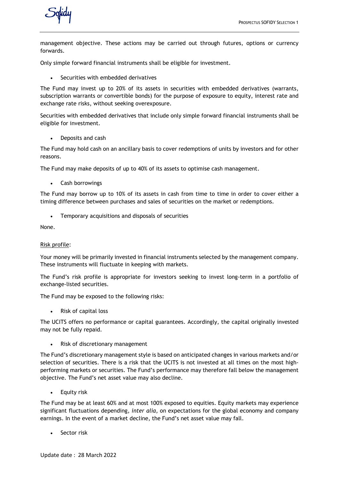

management objective. These actions may be carried out through futures, options or currency forwards.

Only simple forward financial instruments shall be eligible for investment.

Securities with embedded derivatives

The Fund may invest up to 20% of its assets in securities with embedded derivatives (warrants, subscription warrants or convertible bonds) for the purpose of exposure to equity, interest rate and exchange rate risks, without seeking overexposure.

Securities with embedded derivatives that include only simple forward financial instruments shall be eligible for investment.

• Deposits and cash

The Fund may hold cash on an ancillary basis to cover redemptions of units by investors and for other reasons.

The Fund may make deposits of up to 40% of its assets to optimise cash management.

• Cash borrowings

The Fund may borrow up to 10% of its assets in cash from time to time in order to cover either a timing difference between purchases and sales of securities on the market or redemptions.

• Temporary acquisitions and disposals of securities

None.

#### Risk profile:

Your money will be primarily invested in financial instruments selected by the management company. These instruments will fluctuate in keeping with markets.

The Fund's risk profile is appropriate for investors seeking to invest long-term in a portfolio of exchange-listed securities.

The Fund may be exposed to the following risks:

• Risk of capital loss

The UCITS offers no performance or capital guarantees. Accordingly, the capital originally invested may not be fully repaid.

Risk of discretionary management

The Fund's discretionary management style is based on anticipated changes in various markets and/or selection of securities. There is a risk that the UCITS is not invested at all times on the most highperforming markets or securities. The Fund's performance may therefore fall below the management objective. The Fund's net asset value may also decline.

• Equity risk

The Fund may be at least 60% and at most 100% exposed to equities. Equity markets may experience significant fluctuations depending, *inter alia*, on expectations for the global economy and company earnings. In the event of a market decline, the Fund's net asset value may fall.

Sector risk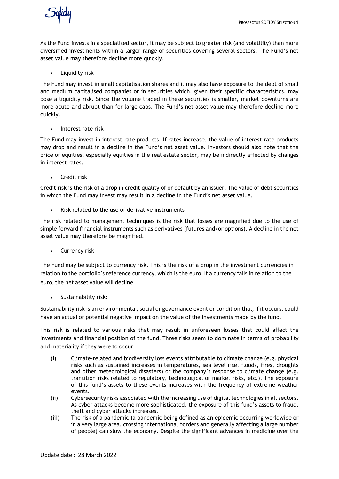

As the Fund invests in a specialised sector, it may be subject to greater risk (and volatility) than more diversified investments within a larger range of securities covering several sectors. The Fund's net asset value may therefore decline more quickly.

• Liquidity risk

The Fund may invest in small capitalisation shares and it may also have exposure to the debt of small and medium capitalised companies or in securities which, given their specific characteristics, may pose a liquidity risk. Since the volume traded in these securities is smaller, market downturns are more acute and abrupt than for large caps. The Fund's net asset value may therefore decline more quickly.

• Interest rate risk

The Fund may invest in interest-rate products. If rates increase, the value of interest-rate products may drop and result in a decline in the Fund's net asset value. Investors should also note that the price of equities, especially equities in the real estate sector, may be indirectly affected by changes in interest rates.

• Credit risk

Credit risk is the risk of a drop in credit quality of or default by an issuer. The value of debt securities in which the Fund may invest may result in a decline in the Fund's net asset value.

Risk related to the use of derivative instruments

The risk related to management techniques is the risk that losses are magnified due to the use of simple forward financial instruments such as derivatives (futures and/or options). A decline in the net asset value may therefore be magnified.

• Currency risk

The Fund may be subject to currency risk. This is the risk of a drop in the investment currencies in relation to the portfolio's reference currency, which is the euro. If a currency falls in relation to the euro, the net asset value will decline.

• Sustainability risk:

Sustainability risk is an environmental, social or governance event or condition that, if it occurs, could have an actual or potential negative impact on the value of the investments made by the fund.

This risk is related to various risks that may result in unforeseen losses that could affect the investments and financial position of the fund. Three risks seem to dominate in terms of probability and materiality if they were to occur:

- (i) Climate-related and biodiversity loss events attributable to climate change (e.g. physical risks such as sustained increases in temperatures, sea level rise, floods, fires, droughts and other meteorological disasters) or the company's response to climate change (e.g. transition risks related to regulatory, technological or market risks, etc.). The exposure of this fund's assets to these events increases with the frequency of extreme weather events.
- (ii) Cybersecurity risks associated with the increasing use of digital technologies in all sectors. As cyber attacks become more sophisticated, the exposure of this fund's assets to fraud, theft and cyber attacks increases.
- (iii) The risk of a pandemic (a pandemic being defined as an epidemic occurring worldwide or in a very large area, crossing international borders and generally affecting a large number of people) can slow the economy. Despite the significant advances in medicine over the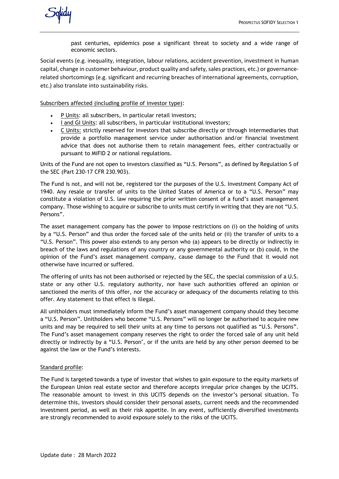past centuries, epidemics pose a significant threat to society and a wide range of economic sectors.

Social events (e.g. inequality, integration, labour relations, accident prevention, investment in human capital, change in customer behaviour, product quality and safety, sales practices, etc.) or governancerelated shortcomings (e.g. significant and recurring breaches of international agreements, corruption, etc.) also translate into sustainability risks.

Subscribers affected (including profile of investor type):

- P Units: all subscribers, in particular retail investors;
- I and GI Units: all subscribers, in particular institutional investors;
- C Units: strictly reserved for investors that subscribe directly or through intermediaries that provide a portfolio management service under authorisation and/or financial investment advice that does not authorise them to retain management fees, either contractually or pursuant to MiFID 2 or national regulations.

Units of the Fund are not open to investors classified as "U.S. Persons", as defined by Regulation S of the SEC (Part 230-17 CFR 230.903).

The Fund is not, and will not be, registered tor the purposes of the U.S. Investment Company Act of 1940. Any resale or transfer of units to the United States of America or to a "U.S. Person" may constitute a violation of U.S. law requiring the prior written consent of a fund's asset management company. Those wishing to acquire or subscribe to units must certify in writing that they are not "U.S. Persons".

The asset management company has the power to impose restrictions on (i) on the holding of units by a "U.S. Person" and thus order the forced sale of the units held or (ii) the transfer of units to a "U.S. Person". This power also extends to any person who (a) appears to be directly or indirectly in breach of the laws and regulations of any country or any governmental authority or (b) could, in the opinion of the Fund's asset management company, cause damage to the Fund that it would not otherwise have incurred or suffered.

The offering of units has not been authorised or rejected by the SEC, the special commission of a U.S. state or any other U.S. regulatory authority, nor have such authorities offered an opinion or sanctioned the merits of this offer, nor the accuracy or adequacy of the documents relating to this offer. Any statement to that effect is illegal.

All unitholders must immediately inform the Fund's asset management company should they become a "U.S. Person". Unitholders who become "U.S. Persons" will no longer be authorised to acquire new units and may be required to sell their units at any time to persons not qualified as "U.S. Persons". The Fund's asset management company reserves the right to order the forced sale of any unit held directly or indirectly by a "U.S. Person", or if the units are held by any other person deemed to be against the law or the Fund's interests.

# Standard profile:

The Fund is targeted towards a type of investor that wishes to gain exposure to the equity markets of the European Union real estate sector and therefore accepts irregular price changes by the UCITS. The reasonable amount to invest in this UCITS depends on the investor's personal situation. To determine this, investors should consider their personal assets, current needs and the recommended investment period, as well as their risk appetite. In any event, sufficiently diversified investments are strongly recommended to avoid exposure solely to the risks of the UCITS.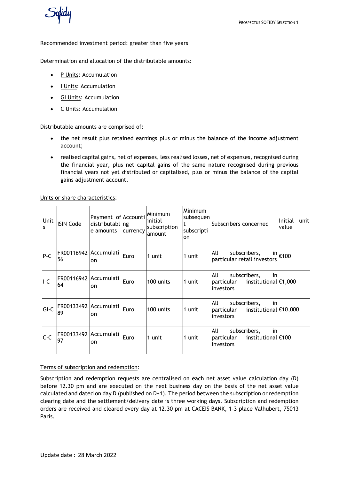

## Recommended investment period: greater than five years

Determination and allocation of the distributable amounts:

- P Units: Accumulation
- I Units: Accumulation
- GI Units: Accumulation
- C Units: Accumulation

Distributable amounts are comprised of:

- the net result plus retained earnings plus or minus the balance of the income adjustment account;
- realised capital gains, net of expenses, less realised losses, net of expenses, recognised during the financial year, plus net capital gains of the same nature recognised during previous financial years not yet distributed or capitalised, plus or minus the balance of the capital gains adjustment account.

Units or share characteristics:

| Unit<br>ls. | <b>ISIN Code</b>            | Payment of Accounti<br>distributabl ng<br>e amounts | currency | <b>Minimum</b><br>initial<br>subscription<br>amount | Minimum<br>subsequen<br>t<br>subscripti<br>on | Subscribers concerned                                                            | Initial<br>unitl<br>value  |
|-------------|-----------------------------|-----------------------------------------------------|----------|-----------------------------------------------------|-----------------------------------------------|----------------------------------------------------------------------------------|----------------------------|
| $P-C$       | FR00116942 Accumulati<br>56 | on                                                  | Euro     | 1 unit                                              | 1 unit                                        | All<br>subscribers,<br>particular retail investors                               | $^{\sf in}$ $\epsilon$ 100 |
| II-C        | FR00116942 Accumulati<br>64 | on                                                  | Euro     | 100 units                                           | 1 unit                                        | All<br>subscribers,<br>in<br>institutional €1,000<br>particular<br>linvestors    |                            |
| GI-C        | FR00133492 Accumulati<br>89 | on                                                  | Euro     | 100 units                                           | 1 unit                                        | lall.<br>subscribers,<br>in<br>institutional €10,000<br>particular<br> investors |                            |
| $C-C$       | FR00133492 Accumulati<br>97 | on                                                  | Euro     | 1 unit                                              | 1 unit                                        | lall.<br>in<br>subscribers,<br>institutional €100<br>particular<br>investors     |                            |

#### Terms of subscription and redemption:

Subscription and redemption requests are centralised on each net asset value calculation day (D) before 12.30 pm and are executed on the next business day on the basis of the net asset value calculated and dated on day D (published on D+1). The period between the subscription or redemption clearing date and the settlement/delivery date is three working days. Subscription and redemption orders are received and cleared every day at 12.30 pm at CACEIS BANK, 1-3 place Valhubert, 75013 Paris.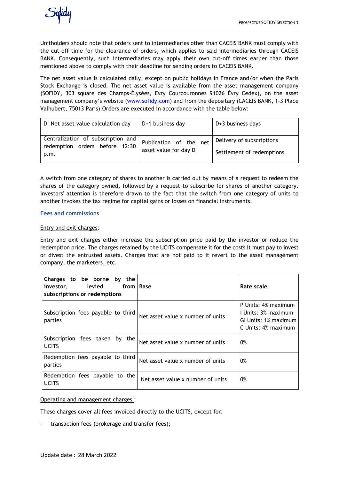

Unitholders should note that orders sent to intermediaries other than CACEIS BANK must comply with the cut-off time for the clearance of orders, which applies to said intermediaries through CACEIS BANK. Consequently, such intermediaries may apply their own cut-off times earlier than those mentioned above to comply with their deadline for sending orders to CACEIS BANK.

The net asset value is calculated daily, except on public holidays in France and/or when the Paris Stock Exchange is closed. The net asset value is available from the asset management company (SOFIDY, 303 square des Champs-Élysées, Evry Courcouronnes 91026 Évry Cedex), on the asset management company's website (www.sofidy.com) and from the depositary (CACEIS BANK, 1-3 Place Valhubert, 75013 Paris).Orders are executed in accordance with the table below:

| D: Net asset value calculation day                                           | D+1 business day                                | $D+3$ business days                                    |
|------------------------------------------------------------------------------|-------------------------------------------------|--------------------------------------------------------|
| Centralization of subscription and<br>redemption orders before 12:30<br>p.m. | Publication of the net<br>asset value for day D | Delivery of subscriptions<br>Settlement of redemptions |

A switch from one category of shares to another is carried out by means of a request to redeem the shares of the category owned, followed by a request to subscribe for shares of another category. Investors' attention is therefore drawn to the fact that the switch from one category of units to another invokes the tax regime for capital gains or losses on financial instruments.

## **Fees and commissions**

## Entry and exit charges:

Entry and exit charges either increase the subscription price paid by the investor or reduce the redemption price. The charges retained by the UCITS compensate it for the costs it must pay to invest or divest the entrusted assets. Charges that are not paid to it revert to the asset management company, the marketers, etc.

| Charges to be borne by<br>the<br>levied<br>from   Base<br>investor,<br>subscriptions or redemptions |                                   | Rate scale                                                                                |
|-----------------------------------------------------------------------------------------------------|-----------------------------------|-------------------------------------------------------------------------------------------|
| Subscription fees payable to third<br>parties                                                       | Net asset value x number of units | P Units: 4% maximum<br>I Units: 3% maximum<br>GI Units: 1% maximum<br>C Units: 4% maximum |
| Subscription fees taken<br>by the<br><b>UCITS</b>                                                   | Net asset value x number of units | 0%                                                                                        |
| Redemption fees payable to third<br>parties                                                         | Net asset value x number of units | 0%                                                                                        |
| Redemption fees payable to the<br><b>UCITS</b>                                                      | Net asset value x number of units | 0%                                                                                        |

Operating and management charges :

These charges cover all fees invoiced directly to the UCITS, except for:

transaction fees (brokerage and transfer fees);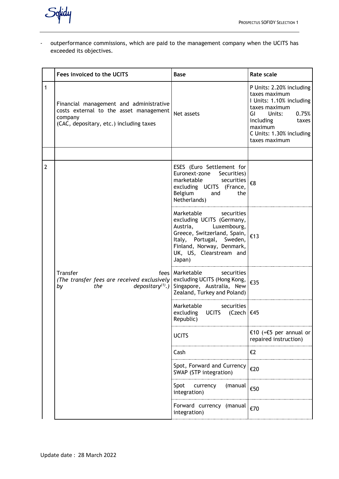Solidy

- outperformance commissions, which are paid to the management company when the UCITS has exceeded its objectives.

|              | Fees invoiced to the UCITS                                                                                                              | <b>Base</b>                                                                                                                                                                                                                                  | <b>Rate scale</b>                                                                                                                                                                             |
|--------------|-----------------------------------------------------------------------------------------------------------------------------------------|----------------------------------------------------------------------------------------------------------------------------------------------------------------------------------------------------------------------------------------------|-----------------------------------------------------------------------------------------------------------------------------------------------------------------------------------------------|
| 1            | Financial management and administrative<br>costs external to the asset management<br>company<br>(CAC, depositary, etc.) including taxes | Net assets                                                                                                                                                                                                                                   | P Units: 2.20% including<br>taxes maximum<br>I Units: 1.10% including<br>taxes maximum<br>Units:<br>0.75%<br>GL<br>including<br>taxes<br>maximum<br>C Units: 1.30% including<br>taxes maximum |
|              |                                                                                                                                         |                                                                                                                                                                                                                                              |                                                                                                                                                                                               |
| $\mathbf{2}$ |                                                                                                                                         | ESES (Euro Settlement for<br>Euronext-zone Securities)<br>marketable<br>securities<br>excluding UCITS (France,<br>Belgium<br>and<br>the<br>Netherlands)                                                                                      | €8                                                                                                                                                                                            |
|              |                                                                                                                                         | Marketable<br>securities<br>excluding UCITS (Germany,<br>Luxembourg,<br>Austria,<br>Greece, Switzerland, Spain, $\left  \epsilon_{13} \right $<br>Italy, Portugal, Sweden,<br>Finland, Norway, Denmark,<br>UK, US, Clearstream and<br>Japan) |                                                                                                                                                                                               |
|              | Transfer<br>(The transfer fees are received exclusively excluding UCITS (Hong Kong,<br>by<br>the                                        | fees   Marketable<br>securities<br>$depositary(1)$ .) Singapore, Australia, New<br>Zealand, Turkey and Poland)                                                                                                                               | €35                                                                                                                                                                                           |
|              |                                                                                                                                         | Marketable<br>securities<br>excluding UCITS (Czech   €45<br>Republic)                                                                                                                                                                        |                                                                                                                                                                                               |
|              |                                                                                                                                         | <b>UCITS</b>                                                                                                                                                                                                                                 | €10 (+€5 per annual or<br>repaired instruction)                                                                                                                                               |
|              |                                                                                                                                         | Cash                                                                                                                                                                                                                                         | €2                                                                                                                                                                                            |
|              |                                                                                                                                         | Spot, Forward and Currency<br>SWAP (STP integration)                                                                                                                                                                                         | €20                                                                                                                                                                                           |
|              |                                                                                                                                         | Spot<br>currency<br>(manual<br>integration)                                                                                                                                                                                                  | €50                                                                                                                                                                                           |
|              |                                                                                                                                         | Forward currency (manual<br>integration)                                                                                                                                                                                                     | €70                                                                                                                                                                                           |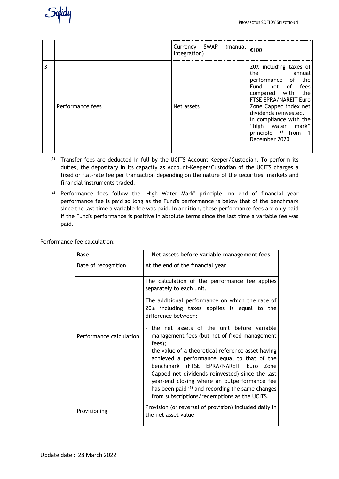|                  | Currency SWAP (manual<br>integration) | €100                                                                                                                                                                                                                                                                             |
|------------------|---------------------------------------|----------------------------------------------------------------------------------------------------------------------------------------------------------------------------------------------------------------------------------------------------------------------------------|
| Performance fees | Net assets                            | 20% including taxes of<br>the<br>annual annual<br>performance of the<br>Fund net of fees<br>compared with the<br>FTSE EPRA/NAREIT Euro<br>Zone Capped index net<br>dividends reinvested.<br>In compliance with the<br>"high water mark"<br>principle (2) from 1<br>December 2020 |

- $(1)$  Transfer fees are deducted in full by the UCITS Account-Keeper/Custodian. To perform its duties, the depositary in its capacity as Account-Keeper/Custodian of the UCITS charges a fixed or flat-rate fee per transaction depending on the nature of the securities, markets and financial instruments traded.
- (2) Performance fees follow the "High Water Mark" principle: no end of financial year performance fee is paid so long as the Fund's performance is below that of the benchmark since the last time a variable fee was paid. In addition, these performance fees are only paid if the Fund's performance is positive in absolute terms since the last time a variable fee was paid.

| <b>Base</b>             | Net assets before variable management fees                                                                                                                                                                                                                                                                                                                                                                                                                   |
|-------------------------|--------------------------------------------------------------------------------------------------------------------------------------------------------------------------------------------------------------------------------------------------------------------------------------------------------------------------------------------------------------------------------------------------------------------------------------------------------------|
| Date of recognition     | At the end of the financial year                                                                                                                                                                                                                                                                                                                                                                                                                             |
|                         | The calculation of the performance fee applies<br>separately to each unit.                                                                                                                                                                                                                                                                                                                                                                                   |
|                         | The additional performance on which the rate of<br>20% including taxes applies is equal to the<br>difference between:                                                                                                                                                                                                                                                                                                                                        |
| Performance calculation | - the net assets of the unit before variable<br>management fees (but net of fixed management<br>fees);<br>- the value of a theoretical reference asset having<br>achieved a performance equal to that of the<br>benchmark (FTSE EPRA/NAREIT Euro Zone<br>Capped net dividends reinvested) since the last<br>year-end closing where an outperformance fee<br>has been paid (1) and recording the same changes<br>from subscriptions/redemptions as the UCITS. |
| Provisioning            | Provision (or reversal of provision) included daily in<br>the net asset value                                                                                                                                                                                                                                                                                                                                                                                |

Performance fee calculation: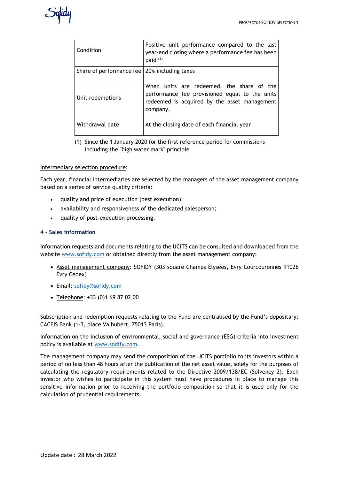

| Condition                                      | Positive unit performance compared to the last<br>year-end closing where a performance fee has been<br>paid <sup>(1)</sup>                              |
|------------------------------------------------|---------------------------------------------------------------------------------------------------------------------------------------------------------|
| Share of performance fee   20% including taxes |                                                                                                                                                         |
| Unit redemptions                               | When units are redeemed, the share of the<br>performance fee provisioned equal to the units<br>redeemed is acquired by the asset management<br>company. |
| Withdrawal date                                | At the closing date of each financial year                                                                                                              |

(1) Since the 1 January 2020 for the first reference period for commissions including the "high water mark" principle

## Intermediary selection procedure:

Each year, financial intermediaries are selected by the managers of the asset management company based on a series of service quality criteria:

- quality and price of execution (best execution);
- availability and responsiveness of the dedicated salesperson;
- quality of post-execution processing.

# **4 – Sales information**

Information requests and documents relating to the UCITS can be consulted and downloaded from the website [www.sofidy.com](http://www.sofidy.com/) or obtained directly from the asset management company:

- Asset management company: SOFIDY (303 square Champs Élysées, Evry Courcouronnes 91026 Évry Cedex)
- Email: [sofidy@sofidy.com](mailto:sofidy@sofidy.com)
- Telephone: +33 (0)1 69 87 02 00

Subscription and redemption requests relating to the Fund are centralised by the Fund's depositary: CACEIS Bank (1-3, place Valhubert, 75013 Paris).

Information on the inclusion of environmental, social and governance (ESG) criteria into investment policy is available at [www.sodify.com.](http://www.sodify.com/)

The management company may send the composition of the UCITS portfolio to its investors within a period of no less than 48 hours after the publication of the net asset value, solely for the purposes of calculating the regulatory requirements related to the Directive 2009/138/EC (Solvency 2). Each investor who wishes to participate in this system must have procedures in place to manage this sensitive information prior to receiving the portfolio composition so that it is used only for the calculation of prudential requirements.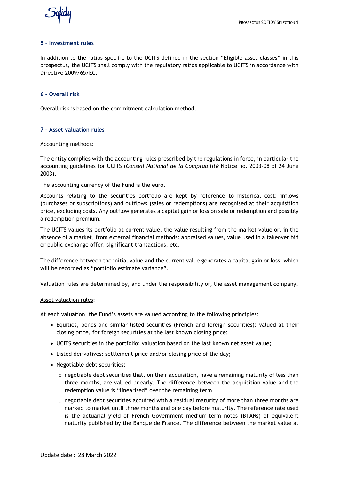

## **5 – Investment rules**

In addition to the ratios specific to the UCITS defined in the section "Eligible asset classes" in this prospectus, the UCITS shall comply with the regulatory ratios applicable to UCITS in accordance with Directive 2009/65/EC.

## **6 – Overall risk**

Overall risk is based on the commitment calculation method.

## **7 – Asset valuation rules**

#### Accounting methods:

The entity complies with the accounting rules prescribed by the regulations in force, in particular the accounting guidelines for UCITS (*Conseil National de la Comptabilité* Notice no. 2003-08 of 24 June 2003).

The accounting currency of the Fund is the euro.

Accounts relating to the securities portfolio are kept by reference to historical cost: inflows (purchases or subscriptions) and outflows (sales or redemptions) are recognised at their acquisition price, excluding costs. Any outflow generates a capital gain or loss on sale or redemption and possibly a redemption premium.

The UCITS values its portfolio at current value, the value resulting from the market value or, in the absence of a market, from external financial methods: appraised values, value used in a takeover bid or public exchange offer, significant transactions, etc.

The difference between the initial value and the current value generates a capital gain or loss, which will be recorded as "portfolio estimate variance".

Valuation rules are determined by, and under the responsibility of, the asset management company.

#### Asset valuation rules:

At each valuation, the Fund's assets are valued according to the following principles:

- Equities, bonds and similar listed securities (French and foreign securities): valued at their closing price, for foreign securities at the last known closing price;
- UCITS securities in the portfolio: valuation based on the last known net asset value;
- Listed derivatives: settlement price and/or closing price of the day;
- Negotiable debt securities:
	- $\circ$  negotiable debt securities that, on their acquisition, have a remaining maturity of less than three months, are valued linearly. The difference between the acquisition value and the redemption value is "linearised" over the remaining term,
	- $\circ$  negotiable debt securities acquired with a residual maturity of more than three months are marked to market until three months and one day before maturity. The reference rate used is the actuarial yield of French Government medium-term notes (BTANs) of equivalent maturity published by the Banque de France. The difference between the market value at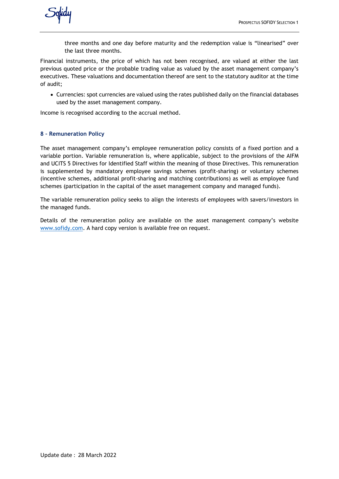three months and one day before maturity and the redemption value is "linearised" over the last three months.

Financial instruments, the price of which has not been recognised, are valued at either the last previous quoted price or the probable trading value as valued by the asset management company's executives. These valuations and documentation thereof are sent to the statutory auditor at the time of audit;

• Currencies: spot currencies are valued using the rates published daily on the financial databases used by the asset management company.

Income is recognised according to the accrual method.

## **8 – Remuneration Policy**

The asset management company's employee remuneration policy consists of a fixed portion and a variable portion. Variable remuneration is, where applicable, subject to the provisions of the AIFM and UCITS 5 Directives for Identified Staff within the meaning of those Directives. This remuneration is supplemented by mandatory employee savings schemes (profit-sharing) or voluntary schemes (incentive schemes, additional profit-sharing and matching contributions) as well as employee fund schemes (participation in the capital of the asset management company and managed funds).

The variable remuneration policy seeks to align the interests of employees with savers/investors in the managed funds.

Details of the remuneration policy are available on the asset management company's website [www.sofidy.com.](http://www.sofidy.com/) A hard copy version is available free on request.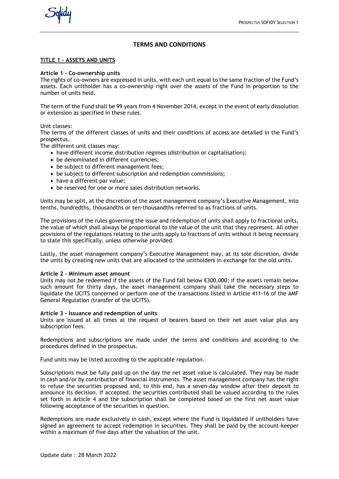#### **TERMS AND CONDITIONS**

#### **TITLE 1 - ASSETS AND UNITS**

#### **Article 1 – Co-ownership units**

The rights of co-owners are expressed in units, with each unit equal to the same fraction of the Fund's assets. Each unitholder has a co-ownership right over the assets of the Fund in proportion to the number of units held.

The term of the Fund shall be 99 years from 4 November 2014, except in the event of early dissolution or extension as specified in these rules.

Unit classes:

The terms of the different classes of units and their conditions of access are detailed in the Fund's prospectus.

The different unit classes may:

- have different income distribution regimes (distribution or capitalisation);
- be denominated in different currencies;
- be subject to different management fees;
- be subject to different subscription and redemption commissions;
- have a different par value;
- be reserved for one or more sales distribution networks.

Units may be split, at the discretion of the asset management company's Executive Management, into tenths, hundredths, thousandths or ten-thousandths referred to as fractions of units.

The provisions of the rules governing the issue and redemption of units shall apply to fractional units, the value of which shall always be proportional to the value of the unit that they represent. All other provisions of the regulations relating to the units apply to fractions of units without it being necessary to state this specifically, unless otherwise provided.

Lastly, the asset management company's Executive Management may, at its sole discretion, divide the units by creating new units that are allocated to the unitholders in exchange for the old units.

#### **Article 2 - Minimum asset amount**

Units may not be redeemed if the assets of the Fund fall below €300,000; if the assets remain below such amount for thirty days, the asset management company shall take the necessary steps to liquidate the UCITS concerned or perform one of the transactions listed in Article 411-16 of the AMF General Regulation (transfer of the UCITS).

#### **Article 3 - Issuance and redemption of units**

Units are issued at all times at the request of bearers based on their net asset value plus any subscription fees.

Redemptions and subscriptions are made under the terms and conditions and according to the procedures defined in the prospectus.

Fund units may be listed according to the applicable regulation.

Subscriptions must be fully paid up on the day the net asset value is calculated. They may be made in cash and/or by contribution of financial instruments. The asset management company has the right to refuse the securities proposed and, to this end, has a seven-day window after their deposit to announce its decision. If accepted, the securities contributed shall be valued according to the rules set forth in Article 4 and the subscription shall be completed based on the first net asset value following acceptance of the securities in question.

Redemptions are made exclusively in cash, except where the Fund is liquidated if unitholders have signed an agreement to accept redemption in securities. They shall be paid by the account-keeper within a maximum of five days after the valuation of the unit.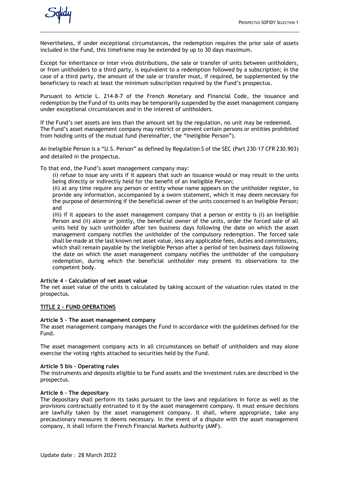Nevertheless, if under exceptional circumstances, the redemption requires the prior sale of assets included in the Fund, this timeframe may be extended by up to 30 days maximum.

Except for inheritance or inter vivos distributions, the sale or transfer of units between unitholders, or from unitholders to a third party, is equivalent to a redemption followed by a subscription; in the case of a third party, the amount of the sale or transfer must, if required, be supplemented by the beneficiary to reach at least the minimum subscription required by the Fund's prospectus.

Pursuant to Article L. 214-8-7 of the French Monetary and Financial Code, the issuance and redemption by the Fund of its units may be temporarily suspended by the asset management company under exceptional circumstances and in the interest of unitholders.

If the Fund's net assets are less than the amount set by the regulation, no unit may be redeemed. The Fund's asset management company may restrict or prevent certain persons or entities prohibited from holding units of the mutual fund (hereinafter, the "Ineligible Person").

An Ineligible Person is a "U.S. Person" as defined by Regulation S of the SEC (Part 230-17 CFR 230.903) and detailed in the prospectus.

To that end, the Fund's asset management company may:

(i) refuse to issue any units if it appears that such an issuance would or may result in the units being directly or indirectly held for the benefit of an Ineligible Person;

(ii) at any time require any person or entity whose name appears on the unitholder register, to provide any information, accompanied by a sworn statement, which it may deem necessary for the purpose of determining if the beneficial owner of the units concerned is an Ineligible Person; and

(iii) if it appears to the asset management company that a person or entity is (i) an Ineligible Person and (ii) alone or jointly, the beneficial owner of the units, order the forced sale of all units held by such unitholder after ten business days following the date on which the asset management company notifies the unitholder of the compulsory redemption. The forced sale shall be made at the last known net asset value, less any applicable fees, duties and commissions, which shall remain payable by the Ineligible Person after a period of ten business days following the date on which the asset management company notifies the unitholder of the compulsory redemption, during which the beneficial unitholder may present its observations to the competent body.

#### **Article 4 – Calculation of net asset value**

The net asset value of the units is calculated by taking account of the valuation rules stated in the prospectus.

#### **TITLE 2 - FUND OPERATIONS**

#### **Article 5 – The asset management company**

The asset management company manages the Fund in accordance with the guidelines defined for the Fund.

The asset management company acts in all circumstances on behalf of unitholders and may alone exercise the voting rights attached to securities held by the Fund.

#### **Article 5 bis - Operating rules**

The instruments and deposits eligible to be Fund assets and the investment rules are described in the prospectus.

#### **Article 6 – The depositary**

The depositary shall perform its tasks pursuant to the laws and regulations in force as well as the provisions contractually entrusted to it by the asset management company. It must ensure decisions are lawfully taken by the asset management company. It shall, where appropriate, take any precautionary measures it deems necessary. In the event of a dispute with the asset management company, it shall inform the French Financial Markets Authority (AMF).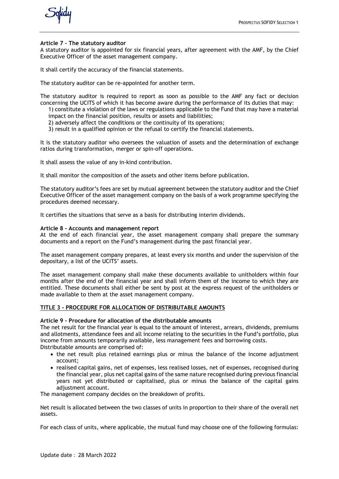

#### **Article 7 – The statutory auditor**

A statutory auditor is appointed for six financial years, after agreement with the AMF, by the Chief Executive Officer of the asset management company.

It shall certify the accuracy of the financial statements.

The statutory auditor can be re-appointed for another term.

The statutory auditor is required to report as soon as possible to the AMF any fact or decision concerning the UCITS of which it has become aware during the performance of its duties that may:

1) constitute a violation of the laws or regulations applicable to the Fund that may have a material impact on the financial position, results or assets and liabilities;

- 2) adversely affect the conditions or the continuity of its operations;
- 3) result in a qualified opinion or the refusal to certify the financial statements.

It is the statutory auditor who oversees the valuation of assets and the determination of exchange ratios during transformation, merger or spin-off operations.

It shall assess the value of any in-kind contribution.

It shall monitor the composition of the assets and other items before publication.

The statutory auditor's fees are set by mutual agreement between the statutory auditor and the Chief Executive Officer of the asset management company on the basis of a work programme specifying the procedures deemed necessary.

It certifies the situations that serve as a basis for distributing interim dividends.

#### **Article 8 - Accounts and management report**

At the end of each financial year, the asset management company shall prepare the summary documents and a report on the Fund's management during the past financial year.

The asset management company prepares, at least every six months and under the supervision of the depositary, a list of the UCITS' assets.

The asset management company shall make these documents available to unitholders within four months after the end of the financial year and shall inform them of the income to which they are entitled. These documents shall either be sent by post at the express request of the unitholders or made available to them at the asset management company.

## **TITLE 3 - PROCEDURE FOR ALLOCATION OF DISTRIBUTABLE AMOUNTS**

#### **Article 9 - Procedure for allocation of the distributable amounts**

The net result for the financial year is equal to the amount of interest, arrears, dividends, premiums and allotments, attendance fees and all income relating to the securities in the Fund's portfolio, plus income from amounts temporarily available, less management fees and borrowing costs.

Distributable amounts are comprised of:

- the net result plus retained earnings plus or minus the balance of the income adjustment account;
- realised capital gains, net of expenses, less realised losses, net of expenses, recognised during the financial year, plus net capital gains of the same nature recognised during previous financial years not yet distributed or capitalised, plus or minus the balance of the capital gains adjustment account.

The management company decides on the breakdown of profits.

Net result is allocated between the two classes of units in proportion to their share of the overall net assets.

For each class of units, where applicable, the mutual fund may choose one of the following formulas: